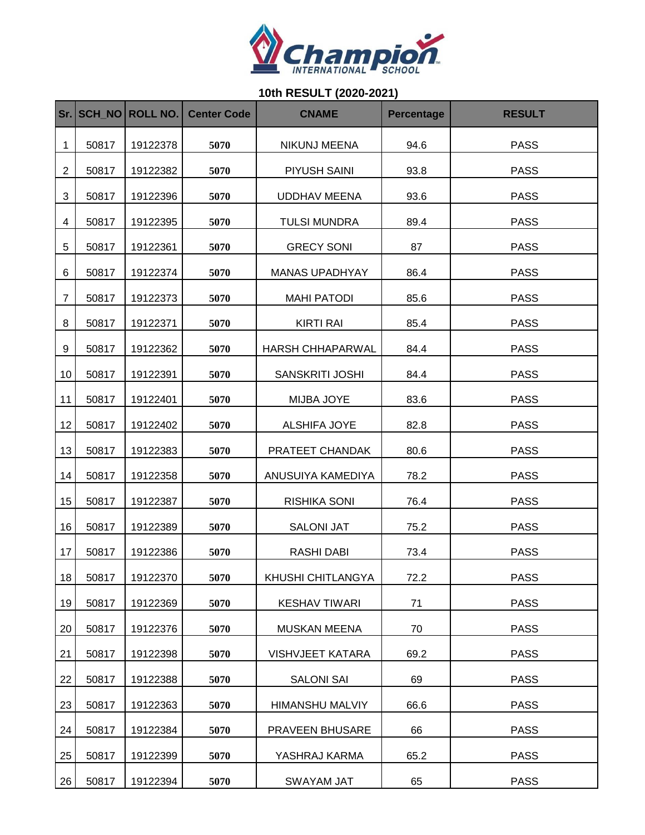

## **10th RESULT (2020-2021)**

| Sr.            |       | SCH NO ROLL NO. | <b>Center Code</b> | <b>CNAME</b>            | <b>Percentage</b> | <b>RESULT</b> |
|----------------|-------|-----------------|--------------------|-------------------------|-------------------|---------------|
| 1              | 50817 | 19122378        | 5070               | <b>NIKUNJ MEENA</b>     | 94.6              | <b>PASS</b>   |
| $\overline{2}$ | 50817 | 19122382        | 5070               | PIYUSH SAINI            | 93.8              | <b>PASS</b>   |
| 3              | 50817 | 19122396        | 5070               | <b>UDDHAV MEENA</b>     | 93.6              | <b>PASS</b>   |
| 4              | 50817 | 19122395        | 5070               | <b>TULSI MUNDRA</b>     | 89.4              | <b>PASS</b>   |
| 5              | 50817 | 19122361        | 5070               | <b>GRECY SONI</b>       | 87                | <b>PASS</b>   |
| 6              | 50817 | 19122374        | 5070               | <b>MANAS UPADHYAY</b>   | 86.4              | <b>PASS</b>   |
| $\overline{7}$ | 50817 | 19122373        | 5070               | <b>MAHI PATODI</b>      | 85.6              | <b>PASS</b>   |
| 8              | 50817 | 19122371        | 5070               | <b>KIRTI RAI</b>        | 85.4              | <b>PASS</b>   |
| 9              | 50817 | 19122362        | 5070               | <b>HARSH CHHAPARWAL</b> | 84.4              | <b>PASS</b>   |
| 10             | 50817 | 19122391        | 5070               | SANSKRITI JOSHI         | 84.4              | <b>PASS</b>   |
| 11             | 50817 | 19122401        | 5070               | MIJBA JOYE              | 83.6              | <b>PASS</b>   |
| 12             | 50817 | 19122402        | 5070               | ALSHIFA JOYE            | 82.8              | <b>PASS</b>   |
| 13             | 50817 | 19122383        | 5070               | PRATEET CHANDAK         | 80.6              | <b>PASS</b>   |
| 14             | 50817 | 19122358        | 5070               | ANUSUIYA KAMEDIYA       | 78.2              | <b>PASS</b>   |
| 15             | 50817 | 19122387        | 5070               | RISHIKA SONI            | 76.4              | <b>PASS</b>   |
| 16             | 50817 | 19122389        | 5070               | <b>SALONI JAT</b>       | 75.2              | <b>PASS</b>   |
| 17             | 50817 | 19122386        | 5070               | <b>RASHI DABI</b>       | 73.4              | <b>PASS</b>   |
| 18             | 50817 | 19122370        | 5070               | KHUSHI CHITLANGYA       | 72.2              | <b>PASS</b>   |
| 19             | 50817 | 19122369        | 5070               | <b>KESHAV TIWARI</b>    | 71                | <b>PASS</b>   |
| 20             | 50817 | 19122376        | 5070               | <b>MUSKAN MEENA</b>     | 70                | <b>PASS</b>   |
| 21             | 50817 | 19122398        | 5070               | <b>VISHVJEET KATARA</b> | 69.2              | <b>PASS</b>   |
| 22             | 50817 | 19122388        | 5070               | <b>SALONI SAI</b>       | 69                | <b>PASS</b>   |
| 23             | 50817 | 19122363        | 5070               | <b>HIMANSHU MALVIY</b>  | 66.6              | <b>PASS</b>   |
| 24             | 50817 | 19122384        | 5070               | PRAVEEN BHUSARE         | 66                | <b>PASS</b>   |
| 25             | 50817 | 19122399        | 5070               | YASHRAJ KARMA           | 65.2              | <b>PASS</b>   |
| 26             | 50817 | 19122394        | 5070               | SWAYAM JAT              | 65                | <b>PASS</b>   |